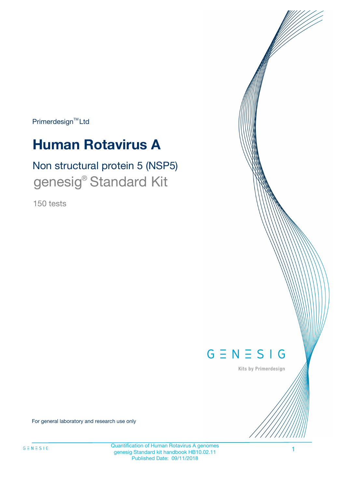Primerdesign<sup>™</sup>Ltd

# **Human Rotavirus A**

# Non structural protein 5 (NSP5) genesig® Standard Kit

150 tests



Kits by Primerdesign

For general laboratory and research use only

Quantification of Human Rotavirus A genomes genesig Standard kit handbook HB10.02.11 Published Date: 09/11/2018

1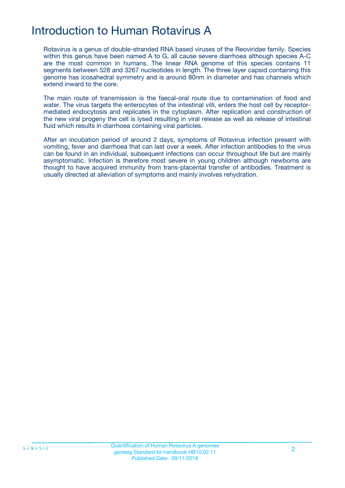# Introduction to Human Rotavirus A

Rotavirus is a genus of double-stranded RNA based viruses of the Reoviridae family. Species within this genus have been named A to G, all cause severe diarrhoea although species A-C are the most common in humans. The linear RNA genome of this species contains 11 segments between 528 and 3267 nucleotides in length. The three layer capsid containing this genome has icosahedral symmetry and is around 80nm in diameter and has channels which extend inward to the core.

The main route of transmission is the faecal-oral route due to contamination of food and water. The virus targets the enterocytes of the intestinal villi, enters the host cell by receptormediated endocytosis and replicates in the cytoplasm. After replication and construction of the new viral progeny the cell is lysed resulting in viral release as well as release of intestinal fluid which results in diarrhoea containing viral particles.

After an incubation period of around 2 days, symptoms of Rotavirus infection present with vomiting, fever and diarrhoea that can last over a week. After infection antibodies to the virus can be found in an individual, subsequent infections can occur throughout life but are mainly asymptomatic. Infection is therefore most severe in young children although newborns are thought to have acquired immunity from trans-placental transfer of antibodies. Treatment is usually directed at alleviation of symptoms and mainly involves rehydration.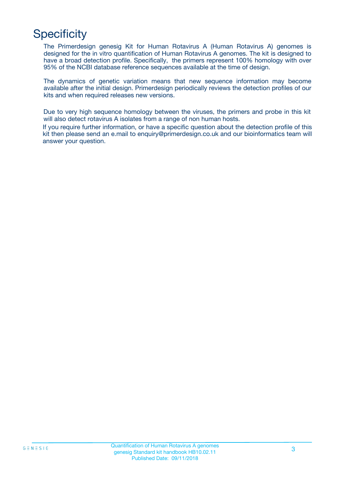# **Specificity**

The Primerdesign genesig Kit for Human Rotavirus A (Human Rotavirus A) genomes is designed for the in vitro quantification of Human Rotavirus A genomes. The kit is designed to have a broad detection profile. Specifically, the primers represent 100% homology with over 95% of the NCBI database reference sequences available at the time of design.

The dynamics of genetic variation means that new sequence information may become available after the initial design. Primerdesign periodically reviews the detection profiles of our kits and when required releases new versions.

Due to very high sequence homology between the viruses, the primers and probe in this kit will also detect rotavirus A isolates from a range of non human hosts.

If you require further information, or have a specific question about the detection profile of this kit then please send an e.mail to enquiry@primerdesign.co.uk and our bioinformatics team will answer your question.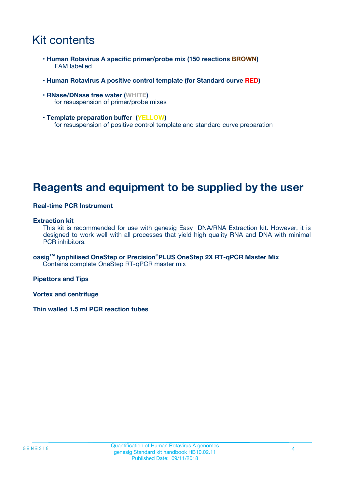# Kit contents

- **Human Rotavirus A specific primer/probe mix (150 reactions BROWN)** FAM labelled
- **Human Rotavirus A positive control template (for Standard curve RED)**
- **RNase/DNase free water (WHITE)** for resuspension of primer/probe mixes
- **Template preparation buffer (YELLOW)** for resuspension of positive control template and standard curve preparation

## **Reagents and equipment to be supplied by the user**

#### **Real-time PCR Instrument**

#### **Extraction kit**

This kit is recommended for use with genesig Easy DNA/RNA Extraction kit. However, it is designed to work well with all processes that yield high quality RNA and DNA with minimal PCR inhibitors.

**oasigTM lyophilised OneStep or Precision**®**PLUS OneStep 2X RT-qPCR Master Mix** Contains complete OneStep RT-qPCR master mix

**Pipettors and Tips**

**Vortex and centrifuge**

**Thin walled 1.5 ml PCR reaction tubes**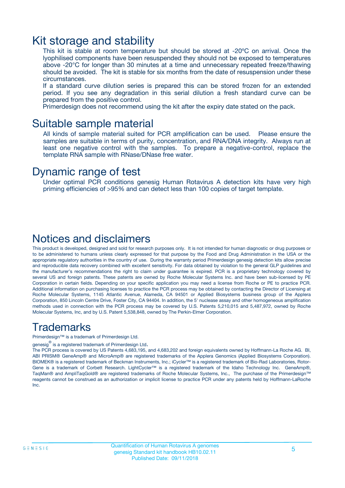### Kit storage and stability

This kit is stable at room temperature but should be stored at -20ºC on arrival. Once the lyophilised components have been resuspended they should not be exposed to temperatures above -20°C for longer than 30 minutes at a time and unnecessary repeated freeze/thawing should be avoided. The kit is stable for six months from the date of resuspension under these circumstances.

If a standard curve dilution series is prepared this can be stored frozen for an extended period. If you see any degradation in this serial dilution a fresh standard curve can be prepared from the positive control.

Primerdesign does not recommend using the kit after the expiry date stated on the pack.

### Suitable sample material

All kinds of sample material suited for PCR amplification can be used. Please ensure the samples are suitable in terms of purity, concentration, and RNA/DNA integrity. Always run at least one negative control with the samples. To prepare a negative-control, replace the template RNA sample with RNase/DNase free water.

### Dynamic range of test

Under optimal PCR conditions genesig Human Rotavirus A detection kits have very high priming efficiencies of >95% and can detect less than 100 copies of target template.

### Notices and disclaimers

This product is developed, designed and sold for research purposes only. It is not intended for human diagnostic or drug purposes or to be administered to humans unless clearly expressed for that purpose by the Food and Drug Administration in the USA or the appropriate regulatory authorities in the country of use. During the warranty period Primerdesign genesig detection kits allow precise and reproducible data recovery combined with excellent sensitivity. For data obtained by violation to the general GLP guidelines and the manufacturer's recommendations the right to claim under guarantee is expired. PCR is a proprietary technology covered by several US and foreign patents. These patents are owned by Roche Molecular Systems Inc. and have been sub-licensed by PE Corporation in certain fields. Depending on your specific application you may need a license from Roche or PE to practice PCR. Additional information on purchasing licenses to practice the PCR process may be obtained by contacting the Director of Licensing at Roche Molecular Systems, 1145 Atlantic Avenue, Alameda, CA 94501 or Applied Biosystems business group of the Applera Corporation, 850 Lincoln Centre Drive, Foster City, CA 94404. In addition, the 5' nuclease assay and other homogeneous amplification methods used in connection with the PCR process may be covered by U.S. Patents 5,210,015 and 5,487,972, owned by Roche Molecular Systems, Inc, and by U.S. Patent 5,538,848, owned by The Perkin-Elmer Corporation.

### Trademarks

Primerdesign™ is a trademark of Primerdesign Ltd.

genesig $^\circledR$  is a registered trademark of Primerdesign Ltd.

The PCR process is covered by US Patents 4,683,195, and 4,683,202 and foreign equivalents owned by Hoffmann-La Roche AG. BI, ABI PRISM® GeneAmp® and MicroAmp® are registered trademarks of the Applera Genomics (Applied Biosystems Corporation). BIOMEK® is a registered trademark of Beckman Instruments, Inc.; iCycler™ is a registered trademark of Bio-Rad Laboratories, Rotor-Gene is a trademark of Corbett Research. LightCycler™ is a registered trademark of the Idaho Technology Inc. GeneAmp®, TaqMan® and AmpliTaqGold® are registered trademarks of Roche Molecular Systems, Inc., The purchase of the Primerdesign™ reagents cannot be construed as an authorization or implicit license to practice PCR under any patents held by Hoffmann-LaRoche Inc.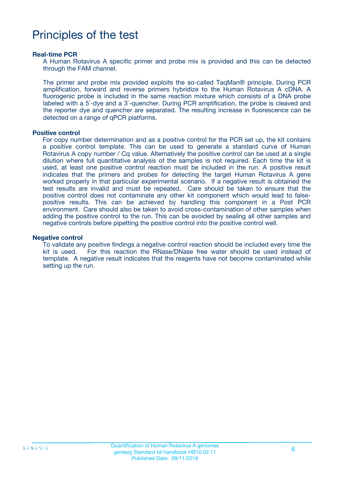# Principles of the test

#### **Real-time PCR**

A Human Rotavirus A specific primer and probe mix is provided and this can be detected through the FAM channel.

The primer and probe mix provided exploits the so-called TaqMan® principle. During PCR amplification, forward and reverse primers hybridize to the Human Rotavirus A cDNA. A fluorogenic probe is included in the same reaction mixture which consists of a DNA probe labeled with a 5`-dye and a 3`-quencher. During PCR amplification, the probe is cleaved and the reporter dye and quencher are separated. The resulting increase in fluorescence can be detected on a range of qPCR platforms.

#### **Positive control**

For copy number determination and as a positive control for the PCR set up, the kit contains a positive control template. This can be used to generate a standard curve of Human Rotavirus A copy number / Cq value. Alternatively the positive control can be used at a single dilution where full quantitative analysis of the samples is not required. Each time the kit is used, at least one positive control reaction must be included in the run. A positive result indicates that the primers and probes for detecting the target Human Rotavirus A gene worked properly in that particular experimental scenario. If a negative result is obtained the test results are invalid and must be repeated. Care should be taken to ensure that the positive control does not contaminate any other kit component which would lead to falsepositive results. This can be achieved by handling this component in a Post PCR environment. Care should also be taken to avoid cross-contamination of other samples when adding the positive control to the run. This can be avoided by sealing all other samples and negative controls before pipetting the positive control into the positive control well.

#### **Negative control**

To validate any positive findings a negative control reaction should be included every time the kit is used. For this reaction the RNase/DNase free water should be used instead of template. A negative result indicates that the reagents have not become contaminated while setting up the run.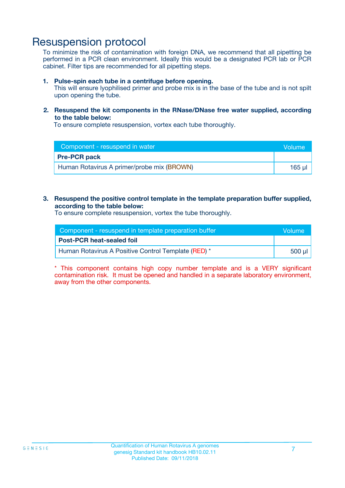### Resuspension protocol

To minimize the risk of contamination with foreign DNA, we recommend that all pipetting be performed in a PCR clean environment. Ideally this would be a designated PCR lab or PCR cabinet. Filter tips are recommended for all pipetting steps.

#### **1. Pulse-spin each tube in a centrifuge before opening.**

This will ensure lyophilised primer and probe mix is in the base of the tube and is not spilt upon opening the tube.

#### **2. Resuspend the kit components in the RNase/DNase free water supplied, according to the table below:**

To ensure complete resuspension, vortex each tube thoroughly.

| Component - resuspend in water             | <b>Volume</b> |  |
|--------------------------------------------|---------------|--|
| <b>Pre-PCR pack</b>                        |               |  |
| Human Rotavirus A primer/probe mix (BROWN) | $165$ µl      |  |

#### **3. Resuspend the positive control template in the template preparation buffer supplied, according to the table below:**

To ensure complete resuspension, vortex the tube thoroughly.

| Component - resuspend in template preparation buffer |          |  |
|------------------------------------------------------|----------|--|
| <b>Post-PCR heat-sealed foil</b>                     |          |  |
| Human Rotavirus A Positive Control Template (RED) *  | ่ 500 µl |  |

\* This component contains high copy number template and is a VERY significant contamination risk. It must be opened and handled in a separate laboratory environment, away from the other components.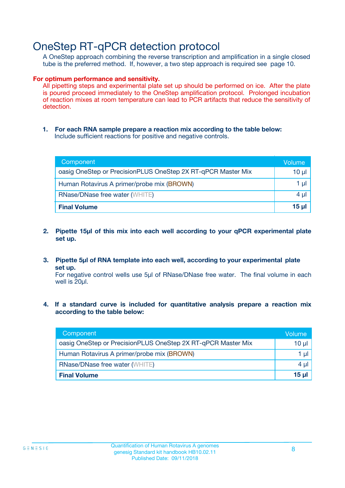## OneStep RT-qPCR detection protocol

A OneStep approach combining the reverse transcription and amplification in a single closed tube is the preferred method. If, however, a two step approach is required see page 10.

#### **For optimum performance and sensitivity.**

All pipetting steps and experimental plate set up should be performed on ice. After the plate is poured proceed immediately to the OneStep amplification protocol. Prolonged incubation of reaction mixes at room temperature can lead to PCR artifacts that reduce the sensitivity of detection.

**1. For each RNA sample prepare a reaction mix according to the table below:** Include sufficient reactions for positive and negative controls.

| Component                                                    | Volumer  |  |
|--------------------------------------------------------------|----------|--|
| oasig OneStep or PrecisionPLUS OneStep 2X RT-qPCR Master Mix | $10 \mu$ |  |
| Human Rotavirus A primer/probe mix (BROWN)                   | 1 µI     |  |
| <b>RNase/DNase free water (WHITE)</b>                        |          |  |
| <b>Final Volume</b>                                          | 15 µl    |  |

- **2. Pipette 15µl of this mix into each well according to your qPCR experimental plate set up.**
- **3. Pipette 5µl of RNA template into each well, according to your experimental plate set up.**

For negative control wells use 5µl of RNase/DNase free water. The final volume in each well is 20ul.

**4. If a standard curve is included for quantitative analysis prepare a reaction mix according to the table below:**

| Component                                                    | Volume  |
|--------------------------------------------------------------|---------|
| oasig OneStep or PrecisionPLUS OneStep 2X RT-qPCR Master Mix | 10 µl   |
| Human Rotavirus A primer/probe mix (BROWN)                   | 1 µl    |
| <b>RNase/DNase free water (WHITE)</b>                        | $4 \mu$ |
| <b>Final Volume</b>                                          | 15 µl   |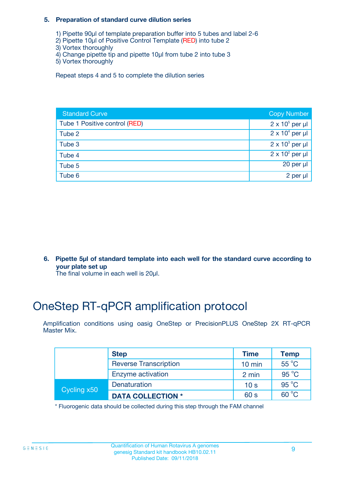#### **5. Preparation of standard curve dilution series**

- 1) Pipette 90µl of template preparation buffer into 5 tubes and label 2-6
- 2) Pipette 10µl of Positive Control Template (RED) into tube 2
- 3) Vortex thoroughly
- 4) Change pipette tip and pipette 10µl from tube 2 into tube 3
- 5) Vortex thoroughly

Repeat steps 4 and 5 to complete the dilution series

| <b>Standard Curve</b>         | <b>Copy Number</b>     |
|-------------------------------|------------------------|
| Tube 1 Positive control (RED) | $2 \times 10^5$ per µl |
| Tube 2                        | $2 \times 10^4$ per µl |
| Tube 3                        | $2 \times 10^3$ per µl |
| Tube 4                        | $2 \times 10^2$ per µl |
| Tube 5                        | 20 per $\mu$           |
| Tube 6                        | 2 per µl               |

**6. Pipette 5µl of standard template into each well for the standard curve according to your plate set up**

The final volume in each well is 20ul.

# OneStep RT-qPCR amplification protocol

Amplification conditions using oasig OneStep or PrecisionPLUS OneStep 2X RT-qPCR Master Mix.

|             | <b>Step</b>                  | <b>Time</b>      | <b>Temp</b>    |
|-------------|------------------------------|------------------|----------------|
|             | <b>Reverse Transcription</b> | $10 \text{ min}$ | $55^{\circ}$ C |
|             | Enzyme activation            | 2 min            | $95^{\circ}$ C |
| Cycling x50 | Denaturation                 | 10 <sub>s</sub>  | $95^{\circ}$ C |
|             | <b>DATA COLLECTION *</b>     | 60 s             | $60^{\circ}$ C |

\* Fluorogenic data should be collected during this step through the FAM channel